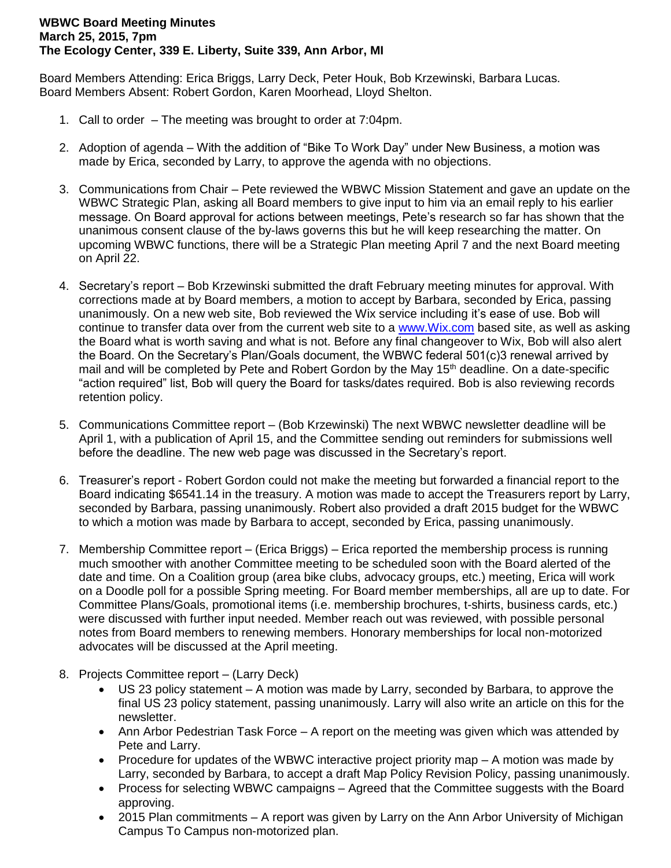## **WBWC Board Meeting Minutes March 25, 2015, 7pm The Ecology Center, 339 E. Liberty, Suite 339, Ann Arbor, MI**

Board Members Attending: Erica Briggs, Larry Deck, Peter Houk, Bob Krzewinski, Barbara Lucas. Board Members Absent: Robert Gordon, Karen Moorhead, Lloyd Shelton.

- 1. Call to order The meeting was brought to order at 7:04pm.
- 2. Adoption of agenda With the addition of "Bike To Work Day" under New Business, a motion was made by Erica, seconded by Larry, to approve the agenda with no objections.
- 3. Communications from Chair Pete reviewed the WBWC Mission Statement and gave an update on the WBWC Strategic Plan, asking all Board members to give input to him via an email reply to his earlier message. On Board approval for actions between meetings, Pete's research so far has shown that the unanimous consent clause of the by-laws governs this but he will keep researching the matter. On upcoming WBWC functions, there will be a Strategic Plan meeting April 7 and the next Board meeting on April 22.
- 4. Secretary's report Bob Krzewinski submitted the draft February meeting minutes for approval. With corrections made at by Board members, a motion to accept by Barbara, seconded by Erica, passing unanimously. On a new web site, Bob reviewed the Wix service including it's ease of use. Bob will continue to transfer data over from the current web site to a [www.Wix.com](http://www.wix.com/) based site, as well as asking the Board what is worth saving and what is not. Before any final changeover to Wix, Bob will also alert the Board. On the Secretary's Plan/Goals document, the WBWC federal 501(c)3 renewal arrived by mail and will be completed by Pete and Robert Gordon by the May 15<sup>th</sup> deadline. On a date-specific "action required" list, Bob will query the Board for tasks/dates required. Bob is also reviewing records retention policy.
- 5. Communications Committee report (Bob Krzewinski) The next WBWC newsletter deadline will be April 1, with a publication of April 15, and the Committee sending out reminders for submissions well before the deadline. The new web page was discussed in the Secretary's report.
- 6. Treasurer's report Robert Gordon could not make the meeting but forwarded a financial report to the Board indicating \$6541.14 in the treasury. A motion was made to accept the Treasurers report by Larry, seconded by Barbara, passing unanimously. Robert also provided a draft 2015 budget for the WBWC to which a motion was made by Barbara to accept, seconded by Erica, passing unanimously.
- 7. Membership Committee report (Erica Briggs) Erica reported the membership process is running much smoother with another Committee meeting to be scheduled soon with the Board alerted of the date and time. On a Coalition group (area bike clubs, advocacy groups, etc.) meeting, Erica will work on a Doodle poll for a possible Spring meeting. For Board member memberships, all are up to date. For Committee Plans/Goals, promotional items (i.e. membership brochures, t-shirts, business cards, etc.) were discussed with further input needed. Member reach out was reviewed, with possible personal notes from Board members to renewing members. Honorary memberships for local non-motorized advocates will be discussed at the April meeting.
- 8. Projects Committee report (Larry Deck)
	- US 23 policy statement A motion was made by Larry, seconded by Barbara, to approve the final US 23 policy statement, passing unanimously. Larry will also write an article on this for the newsletter.
	- Ann Arbor Pedestrian Task Force A report on the meeting was given which was attended by Pete and Larry.
	- Procedure for updates of the WBWC interactive project priority map A motion was made by Larry, seconded by Barbara, to accept a draft Map Policy Revision Policy, passing unanimously.
	- Process for selecting WBWC campaigns Agreed that the Committee suggests with the Board approving.
	- 2015 Plan commitments A report was given by Larry on the Ann Arbor University of Michigan Campus To Campus non-motorized plan.